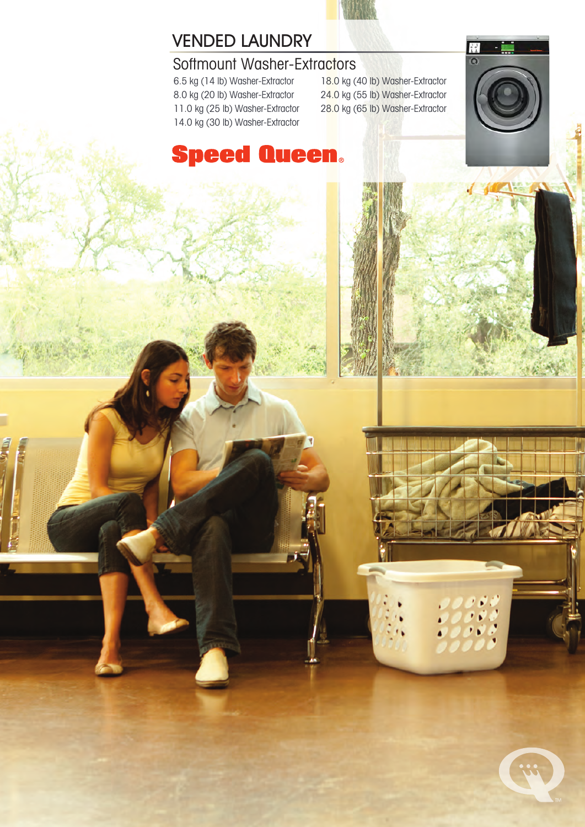

## VENDED LAUNDRY

## Softmount Washer-Extractors

6.5 kg (14 lb) Washer-Extractor 8.0 kg (20 lb) Washer-Extractor 11.0 kg (25 lb) Washer-Extractor 14.0 kg (30 lb) Washer-Extractor 18.0 kg (40 lb) Washer-Extractor 24.0 kg (55 lb) Washer-Extractor 28.0 kg (65 lb) Washer-Extractor